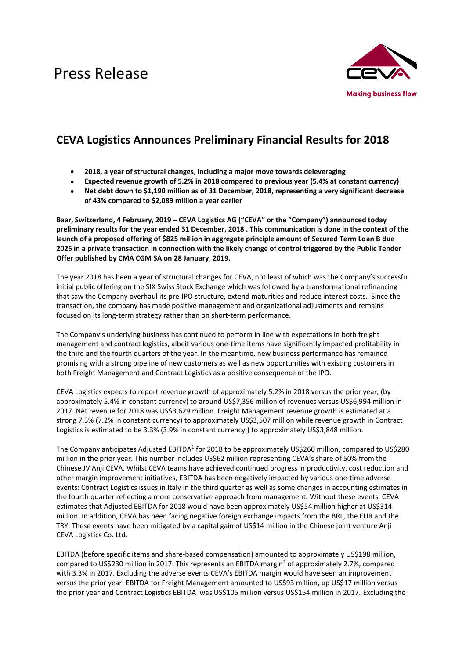# Press Release



## **CEVA Logistics Announces Preliminary Financial Results for 2018**

- **2018, a year of structural changes, including a major move towards deleveraging**
- **Expected revenue growth of 5.2% in 2018 compared to previous year (5.4% at constant currency)**
- **Net debt down to \$1,190 million as of 31 December, 2018, representing a very significant decrease of 43% compared to \$2,089 million a year earlier**

**Baar, Switzerland, 4 February, 2019 – CEVA Logistics AG ("CEVA" or the "Company") announced today preliminary results for the year ended 31 December, 2018 . This communication is done in the context of the launch of a proposed offering of \$825 million in aggregate principle amount of Secured Term Loan B due 2025 in a private transaction in connection with the likely change of control triggered by the Public Tender Offer published by CMA CGM SA on 28 January, 2019.**

The year 2018 has been a year of structural changes for CEVA, not least of which was the Company's successful initial public offering on the SIX Swiss Stock Exchange which was followed by a transformational refinancing that saw the Company overhaul its pre-IPO structure, extend maturities and reduce interest costs. Since the transaction, the company has made positive management and organizational adjustments and remains focused on its long-term strategy rather than on short-term performance.

The Company's underlying business has continued to perform in line with expectations in both freight management and contract logistics, albeit various one-time items have significantly impacted profitability in the third and the fourth quarters of the year. In the meantime, new business performance has remained promising with a strong pipeline of new customers as well as new opportunities with existing customers in both Freight Management and Contract Logistics as a positive consequence of the IPO.

CEVA Logistics expects to report revenue growth of approximately 5.2% in 2018 versus the prior year, (by approximately 5.4% in constant currency) to around US\$7,356 million of revenues versus US\$6,994 million in 2017. Net revenue for 2018 was US\$3,629 million. Freight Management revenue growth is estimated at a strong 7.3% (7.2% in constant currency) to approximately US\$3,507 million while revenue growth in Contract Logistics is estimated to be 3.3% (3.9% in constant currency ) to approximately US\$3,848 million.

The Company anticipates Adjusted EBITDA<sup>1</sup> for 2018 to be approximately US\$260 million, compared to US\$280 million in the prior year. This number includes US\$62 million representing CEVA's share of 50% from the Chinese JV Anji CEVA. Whilst CEVA teams have achieved continued progress in productivity, cost reduction and other margin improvement initiatives, EBITDA has been negatively impacted by various one-time adverse events: Contract Logistics issues in Italy in the third quarter as well as some changes in accounting estimates in the fourth quarter reflecting a more conservative approach from management. Without these events, CEVA estimates that Adjusted EBITDA for 2018 would have been approximately US\$54 million higher at US\$314 million. In addition, CEVA has been facing negative foreign exchange impacts from the BRL, the EUR and the TRY. These events have been mitigated by a capital gain of US\$14 million in the Chinese joint venture Anji CEVA Logistics Co. Ltd.

EBITDA (before specific items and share-based compensation) amounted to approximately US\$198 million, compared to US\$230 million in 2017. This represents an EBITDA margin<sup>2</sup> of approximately 2.7%, compared with 3.3% in 2017. Excluding the adverse events CEVA's EBITDA margin would have seen an improvement versus the prior year. EBITDA for Freight Management amounted to US\$93 million, up US\$17 million versus the prior year and Contract Logistics EBITDA was US\$105 million versus US\$154 million in 2017. Excluding the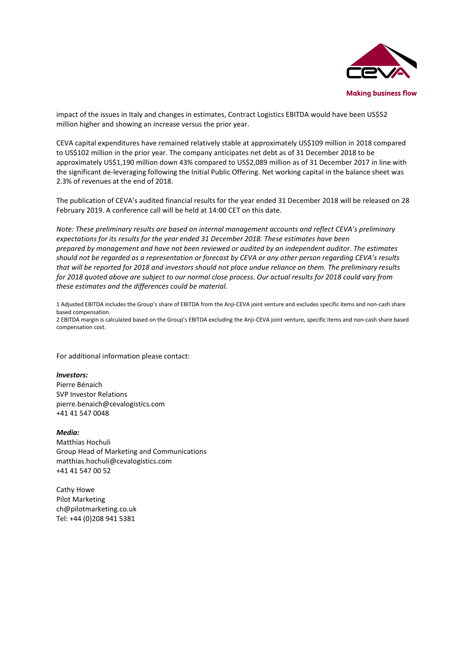

impact of the issues in Italy and changes in estimates, Contract Logistics EBITDA would have been US\$52 million higher and showing an increase versus the prior year.

CEVA capital expenditures have remained relatively stable at approximately US\$109 million in 2018 compared to US\$102 million in the prior year. The company anticipates net debt as of 31 December 2018 to be approximately US\$1,190 million down 43% compared to US\$2,089 million as of 31 December 2017 in line with the significant de-leveraging following the Initial Public Offering. Net working capital in the balance sheet was 2.3% of revenues at the end of 2018.

The publication of CEVA's audited financial results for the year ended 31 December 2018 will be released on 28 February 2019. A conference call will be held at 14:00 CET on this date.

*Note: These preliminary results are based on internal management accounts and reflect CEVA's preliminary expectations for its results for the year ended 31 December 2018. These estimates have been prepared by management and have not been reviewed or audited by an independent auditor. The estimates should not be regarded as a representation or forecast by CEVA or any other person regarding CEVA's results that will be reported for 2018 and investors should not place undue reliance on them. The preliminary results for 2018 quoted above are subject to our normal close process. Our actual results for 2018 could vary from these estimates and the differences could be material.* 

1 Adjusted EBITDA includes the Group's share of EBITDA from the Anji-CEVA joint venture and excludes specific items and non-cash share based compensation.

2 EBITDA margin is calculated based on the Group's EBITDA excluding the Anji-CEVA joint venture, specific items and non-cash share based compensation cost.

For additional information please contact:

#### *Investors:*

Pierre Bénaich SVP Investor Relations [pierre.benaich@cevalogistics.com](mailto:pierre.benaich@cevalogistics.com) +41 41 547 0048

#### *Media:*

Matthias Hochuli Group Head of Marketing and Communications [matthias.hochuli@cevalogistics.com](mailto:matthias.hochuli@cevalogistics.com) +41 41 547 00 52

Cathy Howe Pilot Marketing ch@pilotmarketing.co.uk Tel: +44 (0)208 941 5381